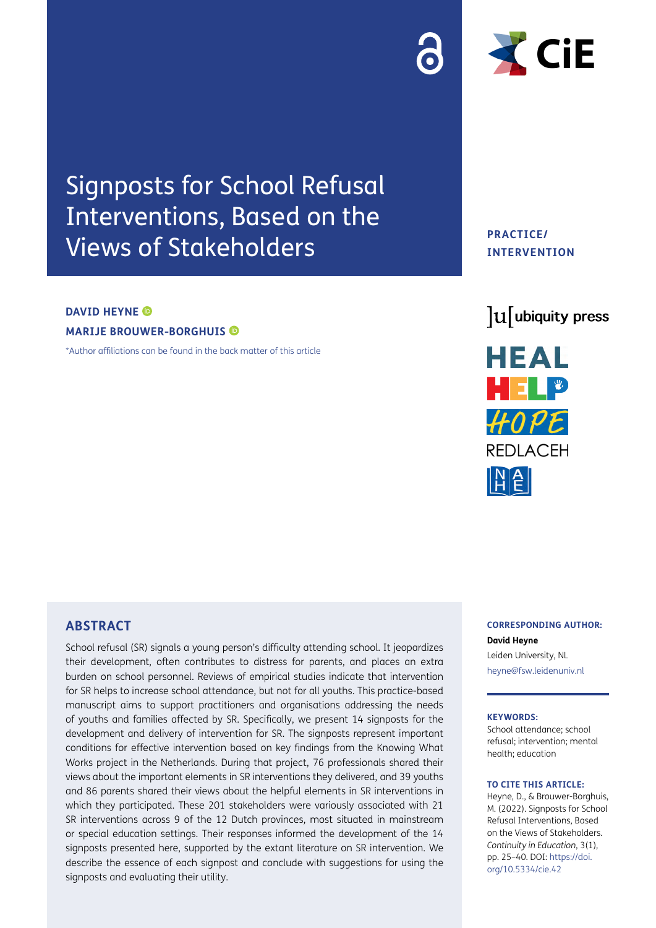# Signposts for School Refusal Interventions, Based on the Views of Stakeholders

#### **DAVID HEYNE ©**

**MARIJE BROUWER-BORGHUIS** 

[\\*Author affiliations can be found in the back matter of this article](#page-12-0)

**PRACTICE/ INTERVENTION**

 $\triangleleft$  CiE





# **ABSTRACT**

School refusal (SR) signals a young person's difficulty attending school. It jeopardizes their development, often contributes to distress for parents, and places an extra burden on school personnel. Reviews of empirical studies indicate that intervention for SR helps to increase school attendance, but not for all youths. This practice-based manuscript aims to support practitioners and organisations addressing the needs of youths and families affected by SR. Specifically, we present 14 signposts for the development and delivery of intervention for SR. The signposts represent important conditions for effective intervention based on key findings from the Knowing What Works project in the Netherlands. During that project, 76 professionals shared their views about the important elements in SR interventions they delivered, and 39 youths and 86 parents shared their views about the helpful elements in SR interventions in which they participated. These 201 stakeholders were variously associated with 21 SR interventions across 9 of the 12 Dutch provinces, most situated in mainstream or special education settings. Their responses informed the development of the 14 signposts presented here, supported by the extant literature on SR intervention. We describe the essence of each signpost and conclude with suggestions for using the signposts and evaluating their utility.

#### **CORRESPONDING AUTHOR:**

**David Heyne** Leiden University, NL [heyne@fsw.leidenuniv.nl](mailto:heyne@fsw.leidenuniv.nl)

#### **KEYWORDS:**

School attendance; school refusal; intervention; mental health; education

#### **TO CITE THIS ARTICLE:**

Heyne, D., & Brouwer-Borghuis, M. (2022). Signposts for School Refusal Interventions, Based on the Views of Stakeholders. *Continuity in Education*, 3(1), pp. 25–40. DOI: [https://doi.](https://doi.org/10.5334/cie.42) [org/10.5334/cie.42](https://doi.org/10.5334/cie.42)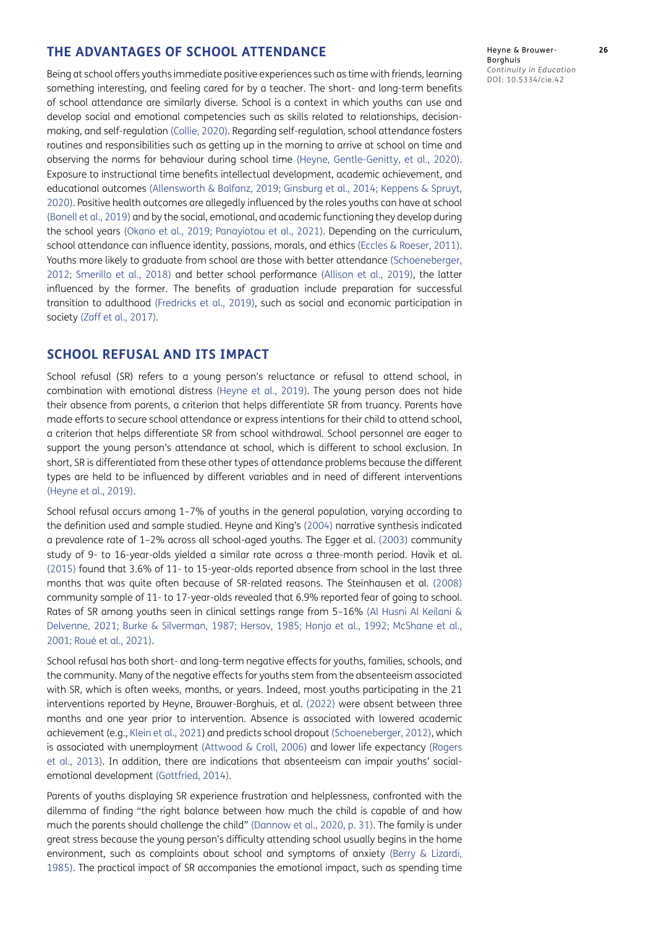### **THE ADVANTAGES OF SCHOOL ATTENDANCE**

Being at school offers youths immediate positive experiences such as time with friends, learning something interesting, and feeling cared for by a teacher. The short- and long-term benefits of school attendance are similarly diverse. School is a context in which youths can use and develop social and emotional competencies such as skills related to relationships, decisionmaking, and self-regulation ([Collie, 2020\)](#page-12-1). Regarding self-regulation, school attendance fosters routines and responsibilities such as getting up in the morning to arrive at school on time and observing the norms for behaviour during school time (Heyne, Gentle-Genitty, et al., 2020). Exposure to instructional time benefits intellectual development, academic achievement, and educational outcomes [\(Allensworth & Balfanz, 2019;](#page-12-2) [Ginsburg et al., 2014](#page-13-0); [Keppens & Spruyt,](#page-14-0)  [2020](#page-14-0)). Positive health outcomes are allegedly influenced by the roles youths can have at school [\(Bonell et al., 2019\)](#page-12-3) and by the social, emotional, and academic functioning they develop during the school years [\(Okano et al., 2019;](#page-15-0) Panayiotou et al., 2021). Depending on the curriculum, school attendance can influence identity, passions, morals, and ethics ([Eccles & Roeser, 2011](#page-13-1)). Youths more likely to graduate from school are those with better attendance [\(Schoeneberger,](#page-15-1)  [2012](#page-15-1); [Smerillo et al., 2018\)](#page-15-2) and better school performance [\(Allison et al., 2019](#page-12-2)), the latter influenced by the former. The benefits of graduation include preparation for successful transition to adulthood [\(Fredricks et al., 2019](#page-13-2)), such as social and economic participation in society (Zaff et al., 2017).

# **SCHOOL REFUSAL AND ITS IMPACT**

School refusal (SR) refers to a young person's reluctance or refusal to attend school, in combination with emotional distress [\(Heyne et al., 2019\)](#page-13-3). The young person does not hide their absence from parents, a criterion that helps differentiate SR from truancy. Parents have made efforts to secure school attendance or express intentions for their child to attend school, a criterion that helps differentiate SR from school withdrawal. School personnel are eager to support the young person's attendance at school, which is different to school exclusion. In short, SR is differentiated from these other types of attendance problems because the different types are held to be influenced by different variables and in need of different interventions [\(Heyne et al., 2019\)](#page-13-3).

School refusal occurs among 1–7% of youths in the general population, varying according to the definition used and sample studied. Heyne and King's ([2004](#page-13-4)) narrative synthesis indicated a prevalence rate of 1–2% across all school-aged youths. The Egger et al. ([2003](#page-13-5)) community study of 9- to 16-year-olds yielded a similar rate across a three-month period. Havik et al. (2015) found that 3.6% of 11- to 15-year-olds reported absence from school in the last three months that was quite often because of SR-related reasons. The Steinhausen et al. (2008) community sample of 11- to 17-year-olds revealed that 6.9% reported fear of going to school. Rates of SR among youths seen in clinical settings range from 5–16% ([Al Husni Al Keilani &](#page-12-4)  [Delvenne, 2021](#page-12-4); [Burke & Silverman, 1987;](#page-12-5) [Hersov, 1985;](#page-13-6) [Honjo et al., 1992](#page-14-1); [McShane et al.,](#page-14-2)  [2001](#page-14-2); Roué et al., 2021).

School refusal has both short- and long-term negative effects for youths, families, schools, and the community. Many of the negative effects for youths stem from the absenteeism associated with SR, which is often weeks, months, or years. Indeed, most youths participating in the 21 interventions reported by Heyne, Brouwer-Borghuis, et al. ([2022](#page-13-7)) were absent between three months and one year prior to intervention. Absence is associated with lowered academic achievement (e.g., Klein et al., 2021) and predicts school dropout ([Schoeneberger, 2012\)](#page-15-1), which is associated with unemployment ([Attwood & Croll, 2006\)](#page-12-6) and lower life expectancy ([Rogers](#page-15-3)  [et al., 2013](#page-15-3)). In addition, there are indications that absenteeism can impair youths' socialemotional development (Gottfried, 2014).

Parents of youths displaying SR experience frustration and helplessness, confronted with the dilemma of finding "the right balance between how much the child is capable of and how much the parents should challenge the child" (Dannow et al., 2020, p. 31). The family is under great stress because the young person's difficulty attending school usually begins in the home environment, such as complaints about school and symptoms of anxiety ([Berry & Lizardi,](#page-12-7)  [1985](#page-12-7)). The practical impact of SR accompanies the emotional impact, such as spending time Heyne & Brouwer- **26** Borghuis *Continuity in Education* DOI: 10.5334/cie.42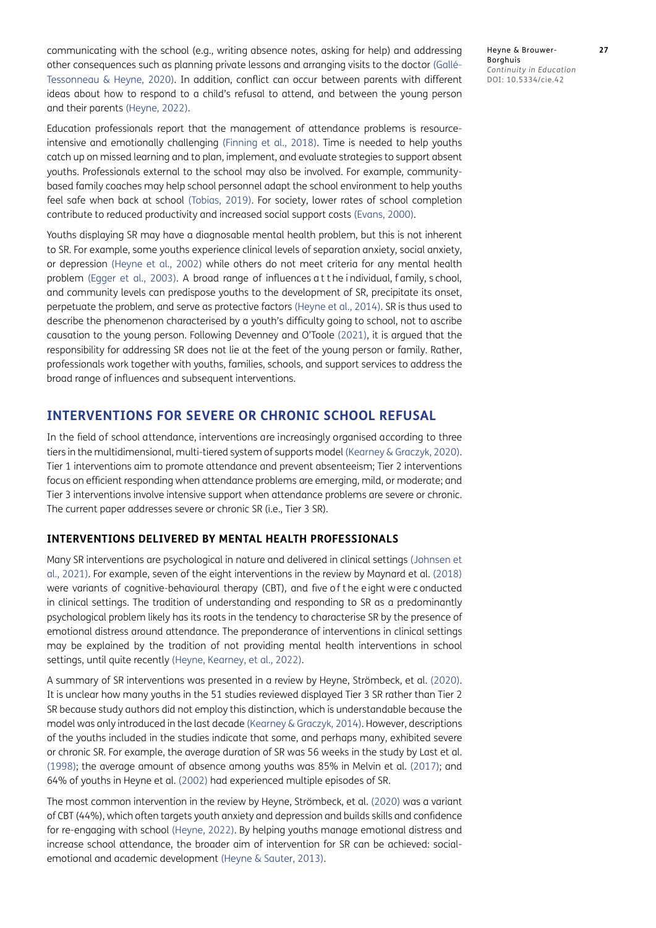communicating with the school (e.g., writing absence notes, asking for help) and addressing other consequences such as planning private lessons and arranging visits to the doctor (Gallé-Tessonneau & Heyne, 2020). In addition, conflict can occur between parents with different ideas about how to respond to a child's refusal to attend, and between the young person and their parents [\(Heyne, 202](#page-13-8)2).

Education professionals report that the management of attendance problems is resourceintensive and emotionally challenging ([Finning et al., 2018\)](#page-13-9). Time is needed to help youths catch up on missed learning and to plan, implement, and evaluate strategies to support absent youths. Professionals external to the school may also be involved. For example, communitybased family coaches may help school personnel adapt the school environment to help youths feel safe when back at school ([Tobias, 2019](#page-15-4)). For society, lower rates of school completion contribute to reduced productivity and increased social support costs [\(Evans, 2000\)](#page-13-10).

Youths displaying SR may have a diagnosable mental health problem, but this is not inherent to SR. For example, some youths experience clinical levels of separation anxiety, social anxiety, or depression [\(Heyne et al., 2002](#page-13-11)) while others do not meet criteria for any mental health problem ([Egger et al., 2003](#page-13-5)). A broad range of influences at the individual, family, s chool, and community levels can predispose youths to the development of SR, precipitate its onset, perpetuate the problem, and serve as protective factors [\(Heyne et al., 2014\)](#page-14-3). SR is thus used to describe the phenomenon characterised by a youth's difficulty going to school, not to ascribe causation to the young person. Following Devenney and O'Toole (2021), it is argued that the responsibility for addressing SR does not lie at the feet of the young person or family. Rather, professionals work together with youths, families, schools, and support services to address the broad range of influences and subsequent interventions.

# **INTERVENTIONS FOR SEVERE OR CHRONIC SCHOOL REFUSAL**

In the field of school attendance, interventions are increasingly organised according to three tiers in the multidimensional, multi-tiered system of supports model [\(Kearney & Graczyk, 2020](#page-14-4)). Tier 1 interventions aim to promote attendance and prevent absenteeism; Tier 2 interventions focus on efficient responding when attendance problems are emerging, mild, or moderate; and Tier 3 interventions involve intensive support when attendance problems are severe or chronic. The current paper addresses severe or chronic SR (i.e., Tier 3 SR).

## **INTERVENTIONS DELIVERED BY MENTAL HEALTH PROFESSIONALS**

Many SR interventions are psychological in nature and delivered in clinical settings [\(Johnsen et](#page-14-5)  [al., 2021](#page-14-5)). For example, seven of the eight interventions in the review by Maynard et al. ([2018\)](#page-14-6) were variants of cognitive-behavioural therapy (CBT), and five of the eight w ere conducted in clinical settings. The tradition of understanding and responding to SR as a predominantly psychological problem likely has its roots in the tendency to characterise SR by the presence of emotional distress around attendance. The preponderance of interventions in clinical settings may be explained by the tradition of not providing mental health interventions in school settings, until quite recently ([Heyne, Kearney, et al., 2022\)](#page-13-12).

A summary of SR interventions was presented in a review by Heyne, Strömbeck, et al. (2020). It is unclear how many youths in the 51 studies reviewed displayed Tier 3 SR rather than Tier 2 SR because study authors did not employ this distinction, which is understandable because the model was only introduced in the last decade ([Kearney & Graczyk, 2014](#page-14-7)). However, descriptions of the youths included in the studies indicate that some, and perhaps many, exhibited severe or chronic SR. For example, the average duration of SR was 56 weeks in the study by Last et al. [\(1998](#page-14-8)); the average amount of absence among youths was 85% in Melvin et al. [\(2017\)](#page-14-9); and 64% of youths in Heyne et al. [\(2002\)](#page-13-11) had experienced multiple episodes of SR.

The most common intervention in the review by Heyne, Strömbeck, et al. (2020) was a variant of CBT (44%), which often targets youth anxiety and depression and builds skills and confidence for re-engaging with school ([Heyne, 2022\)](#page-13-8). By helping youths manage emotional distress and increase school attendance, the broader aim of intervention for SR can be achieved: socialemotional and academic development ([Heyne & Sauter, 2013\)](#page-14-10).

Heyne & Brouwer- **27** Borghuis *Continuity in Education* DOI: 10.5334/cie.42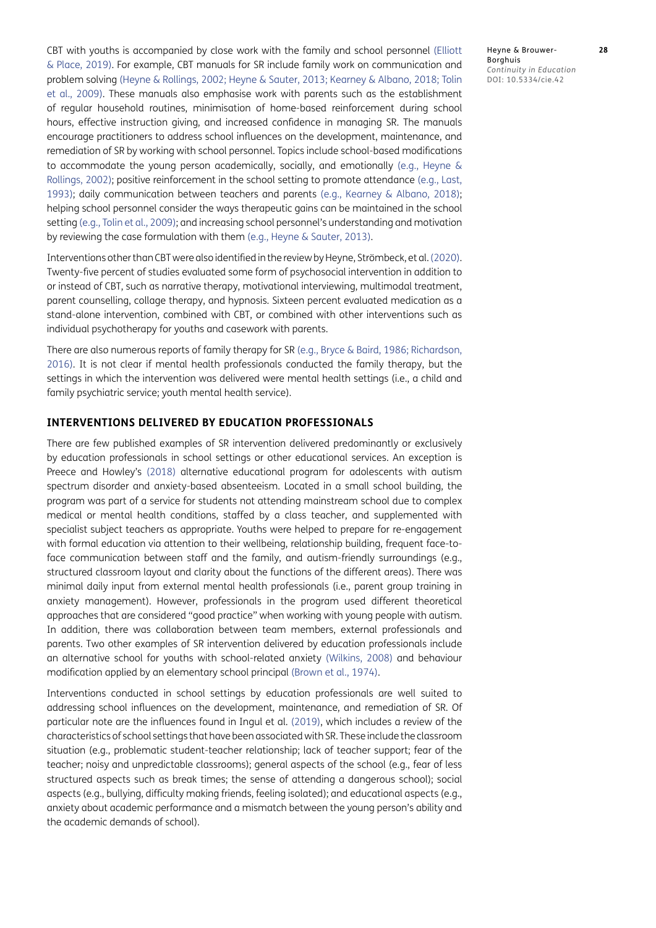CBT with youths is accompanied by close work with the family and school personnel ([Elliott](#page-13-13)  [& Place, 2019](#page-13-13)). For example, CBT manuals for SR include family work on communication and problem solving ([Heyne & Rollings, 2002](#page-14-11); [Heyne & Sauter, 2013](#page-14-10); [Kearney & Albano, 2018;](#page-14-12) [Tolin](#page-15-5)  [et al., 2009](#page-15-5)). These manuals also emphasise work with parents such as the establishment of regular household routines, minimisation of home-based reinforcement during school hours, effective instruction giving, and increased confidence in managing SR. The manuals encourage practitioners to address school influences on the development, maintenance, and remediation of SR by working with school personnel. Topics include school-based modifications to accommodate the young person academically, socially, and emotionally (e.g., [Heyne &](#page-14-11)  [Rollings, 2002](#page-14-11)); positive reinforcement in the school setting to promote attendance (e.g., [Last,](#page-14-13)  [1993](#page-14-13)); daily communication between teachers and parents (e.g., [Kearney & Albano, 2018](#page-14-12)); helping school personnel consider the ways therapeutic gains can be maintained in the school setting (e.g., [Tolin et al., 2009\)](#page-15-5); and increasing school personnel's understanding and motivation by reviewing the case formulation with them (e.g., [Heyne & Sauter, 2013\)](#page-14-10).

Interventions other than CBT were also identified in the review by Heyne, Strömbeck, et al. (2020). Twenty-five percent of studies evaluated some form of psychosocial intervention in addition to or instead of CBT, such as narrative therapy, motivational interviewing, multimodal treatment, parent counselling, collage therapy, and hypnosis. Sixteen percent evaluated medication as a stand-alone intervention, combined with CBT, or combined with other interventions such as individual psychotherapy for youths and casework with parents.

There are also numerous reports of family therapy for SR (e.g., [Bryce & Baird, 1986;](#page-12-8) [Richardson,](#page-15-6)  [2016](#page-15-6)). It is not clear if mental health professionals conducted the family therapy, but the settings in which the intervention was delivered were mental health settings (i.e., a child and family psychiatric service; youth mental health service).

# **INTERVENTIONS DELIVERED BY EDUCATION PROFESSIONALS**

There are few published examples of SR intervention delivered predominantly or exclusively by education professionals in school settings or other educational services. An exception is Preece and Howley's [\(2018\)](#page-15-7) alternative educational program for adolescents with autism spectrum disorder and anxiety-based absenteeism. Located in a small school building, the program was part of a service for students not attending mainstream school due to complex medical or mental health conditions, staffed by a class teacher, and supplemented with specialist subject teachers as appropriate. Youths were helped to prepare for re-engagement with formal education via attention to their wellbeing, relationship building, frequent face-toface communication between staff and the family, and autism-friendly surroundings (e.g., structured classroom layout and clarity about the functions of the different areas). There was minimal daily input from external mental health professionals (i.e., parent group training in anxiety management). However, professionals in the program used different theoretical approaches that are considered "good practice" when working with young people with autism. In addition, there was collaboration between team members, external professionals and parents. Two other examples of SR intervention delivered by education professionals include an alternative school for youths with school-related anxiety (Wilkins, 2008) and behaviour modification applied by an elementary school principal [\(Brown et al., 1974\)](#page-12-9).

Interventions conducted in school settings by education professionals are well suited to addressing school influences on the development, maintenance, and remediation of SR. Of particular note are the influences found in Ingul et al. [\(2019\)](#page-14-14), which includes a review of the characteristics of school settings that have been associated with SR. These include the classroom situation (e.g., problematic student-teacher relationship; lack of teacher support; fear of the teacher; noisy and unpredictable classrooms); general aspects of the school (e.g., fear of less structured aspects such as break times; the sense of attending a dangerous school); social aspects (e.g., bullying, difficulty making friends, feeling isolated); and educational aspects (e.g., anxiety about academic performance and a mismatch between the young person's ability and the academic demands of school).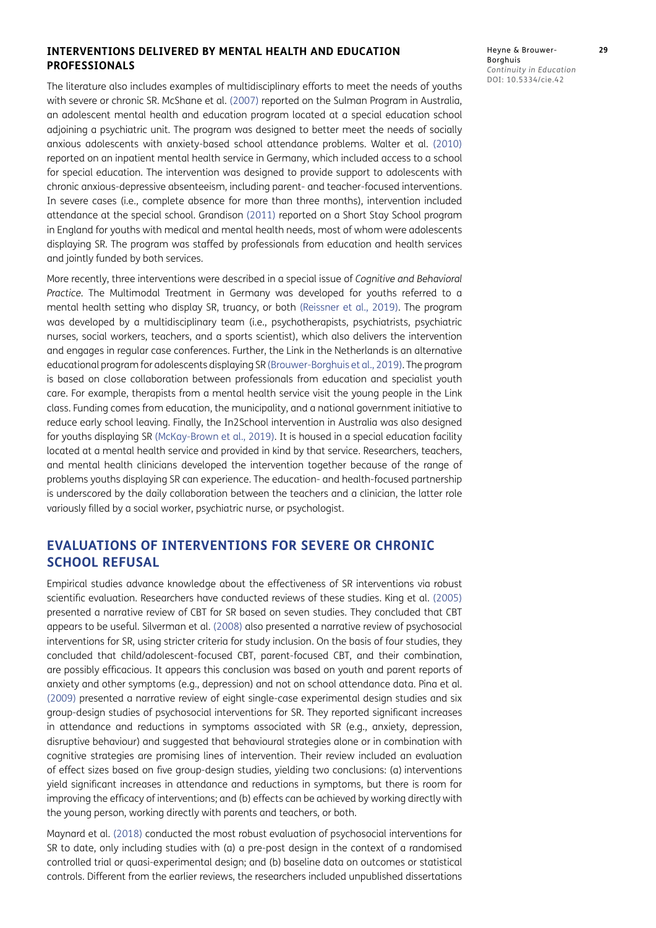#### **INTERVENTIONS DELIVERED BY MENTAL HEALTH AND EDUCATION PROFESSIONALS**

The literature also includes examples of multidisciplinary efforts to meet the needs of youths with severe or chronic SR. McShane et al. [\(2007](#page-14-15)) reported on the Sulman Program in Australia, an adolescent mental health and education program located at a special education school adjoining a psychiatric unit. The program was designed to better meet the needs of socially anxious adolescents with anxiety-based school attendance problems. Walter et al. ([2010\)](#page-15-8) reported on an inpatient mental health service in Germany, which included access to a school for special education. The intervention was designed to provide support to adolescents with chronic anxious-depressive absenteeism, including parent- and teacher-focused interventions. In severe cases (i.e., complete absence for more than three months), intervention included attendance at the special school. Grandison (2011) reported on a Short Stay School program in England for youths with medical and mental health needs, most of whom were adolescents displaying SR. The program was staffed by professionals from education and health services and jointly funded by both services.

More recently, three interventions were described in a special issue of *Cognitive and Behavioral Practice.* The Multimodal Treatment in Germany was developed for youths referred to a mental health setting who display SR, truancy, or both [\(Reissner et al., 2019\)](#page-15-9). The program was developed by a multidisciplinary team (i.e., psychotherapists, psychiatrists, psychiatric nurses, social workers, teachers, and a sports scientist), which also delivers the intervention and engages in regular case conferences. Further, the Link in the Netherlands is an alternative educational program for adolescents displaying SR ([Brouwer-Borghuis et al., 2019](#page-12-10)). The program is based on close collaboration between professionals from education and specialist youth care. For example, therapists from a mental health service visit the young people in the Link class. Funding comes from education, the municipality, and a national government initiative to reduce early school leaving. Finally, the In2School intervention in Australia was also designed for youths displaying SR ([McKay-Brown et al., 2019](#page-14-16)). It is housed in a special education facility located at a mental health service and provided in kind by that service. Researchers, teachers, and mental health clinicians developed the intervention together because of the range of problems youths displaying SR can experience. The education- and health-focused partnership is underscored by the daily collaboration between the teachers and a clinician, the latter role variously filled by a social worker, psychiatric nurse, or psychologist.

# **EVALUATIONS OF INTERVENTIONS FOR SEVERE OR CHRONIC SCHOOL REFUSAL**

Empirical studies advance knowledge about the effectiveness of SR interventions via robust scientific evaluation. Researchers have conducted reviews of these studies. King et al. ([2005\)](#page-14-17) presented a narrative review of CBT for SR based on seven studies. They concluded that CBT appears to be useful. Silverman et al. ([2008](#page-15-10)) also presented a narrative review of psychosocial interventions for SR, using stricter criteria for study inclusion. On the basis of four studies, they concluded that child/adolescent-focused CBT, parent-focused CBT, and their combination, are possibly efficacious. It appears this conclusion was based on youth and parent reports of anxiety and other symptoms (e.g., depression) and not on school attendance data. Pina et al. [\(2009](#page-15-11)) presented a narrative review of eight single-case experimental design studies and six group-design studies of psychosocial interventions for SR. They reported significant increases in attendance and reductions in symptoms associated with SR (e.g., anxiety, depression, disruptive behaviour) and suggested that behavioural strategies alone or in combination with cognitive strategies are promising lines of intervention. Their review included an evaluation of effect sizes based on five group-design studies, yielding two conclusions: (a) interventions yield significant increases in attendance and reductions in symptoms, but there is room for improving the efficacy of interventions; and (b) effects can be achieved by working directly with the young person, working directly with parents and teachers, or both.

Maynard et al. ([2018](#page-14-6)) conducted the most robust evaluation of psychosocial interventions for SR to date, only including studies with (a) a pre-post design in the context of a randomised controlled trial or quasi-experimental design; and (b) baseline data on outcomes or statistical controls. Different from the earlier reviews, the researchers included unpublished dissertations Heyne & Brouwer- **29** Borghuis *Continuity in Education* DOI: 10.5334/cie.42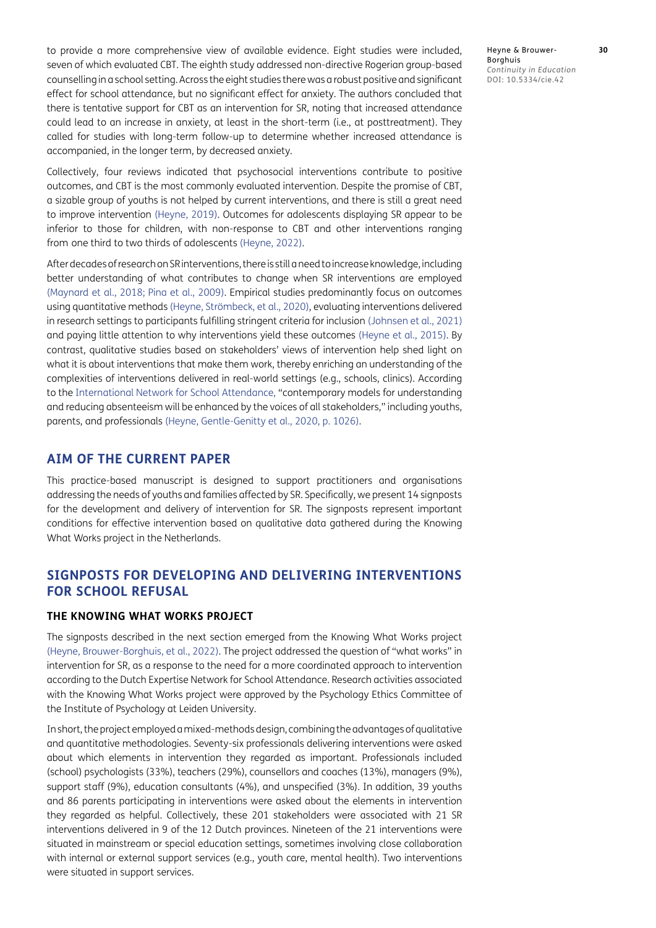to provide a more comprehensive view of available evidence. Eight studies were included, seven of which evaluated CBT. The eighth study addressed non-directive Rogerian group-based counselling in a school setting. Across the eight studies there was a robust positive and significant effect for school attendance, but no significant effect for anxiety. The authors concluded that there is tentative support for CBT as an intervention for SR, noting that increased attendance could lead to an increase in anxiety, at least in the short-term (i.e., at posttreatment). They called for studies with long-term follow-up to determine whether increased attendance is accompanied, in the longer term, by decreased anxiety.

Collectively, four reviews indicated that psychosocial interventions contribute to positive outcomes, and CBT is the most commonly evaluated intervention. Despite the promise of CBT, a sizable group of youths is not helped by current interventions, and there is still a great need to improve intervention [\(Heyne, 2019](#page-13-14)). Outcomes for adolescents displaying SR appear to be inferior to those for children, with non-response to CBT and other interventions ranging from one third to two thirds of adolescents ([Heyne, 202](#page-13-8)2).

After decades of research on SR interventions, there is still a need to increase knowledge, including better understanding of what contributes to change when SR interventions are employed [\(Maynard et al., 2018;](#page-14-6) [Pina et al., 2009\)](#page-15-11). Empirical studies predominantly focus on outcomes using quantitative methods (Heyne, Strömbeck, et al., 2020), evaluating interventions delivered in research settings to participants fulfilling stringent criteria for inclusion ([Johnsen et al., 2021\)](#page-14-5) and paying little attention to why interventions yield these outcomes [\(Heyne et al., 2015](#page-14-18)). By contrast, qualitative studies based on stakeholders' views of intervention help shed light on what it is about interventions that make them work, thereby enriching an understanding of the complexities of interventions delivered in real-world settings (e.g., schools, clinics). According to the [International Network for School Attendance](https://www.insa.network/), "contemporary models for understanding and reducing absenteeism will be enhanced by the voices of all stakeholders," including youths, parents, and professionals (Heyne, Gentle-Genitty et al., 2020, p. 1026).

# **AIM OF THE CURRENT PAPER**

This practice-based manuscript is designed to support practitioners and organisations addressing the needs of youths and families affected by SR. Specifically, we present 14 signposts for the development and delivery of intervention for SR. The signposts represent important conditions for effective intervention based on qualitative data gathered during the Knowing What Works project in the Netherlands.

# **SIGNPOSTS FOR DEVELOPING AND DELIVERING INTERVENTIONS FOR SCHOOL REFUSAL**

#### **THE KNOWING WHAT WORKS PROJECT**

The signposts described in the next section emerged from the Knowing What Works project [\(Heyne, Brouwer-Borghuis, et al., 2022](#page-13-7)). The project addressed the question of "what works" in intervention for SR, as a response to the need for a more coordinated approach to intervention according to the Dutch Expertise Network for School Attendance. Research activities associated with the Knowing What Works project were approved by the Psychology Ethics Committee of the Institute of Psychology at Leiden University.

In short, the project employed a mixed-methods design, combining the advantages of qualitative and quantitative methodologies. Seventy-six professionals delivering interventions were asked about which elements in intervention they regarded as important. Professionals included (school) psychologists (33%), teachers (29%), counsellors and coaches (13%), managers (9%), support staff (9%), education consultants (4%), and unspecified (3%). In addition, 39 youths and 86 parents participating in interventions were asked about the elements in intervention they regarded as helpful. Collectively, these 201 stakeholders were associated with 21 SR interventions delivered in 9 of the 12 Dutch provinces. Nineteen of the 21 interventions were situated in mainstream or special education settings, sometimes involving close collaboration with internal or external support services (e.g., youth care, mental health). Two interventions were situated in support services.

Heyne & Brouwer- **30** Borghuis *Continuity in Education* DOI: 10.5334/cie.42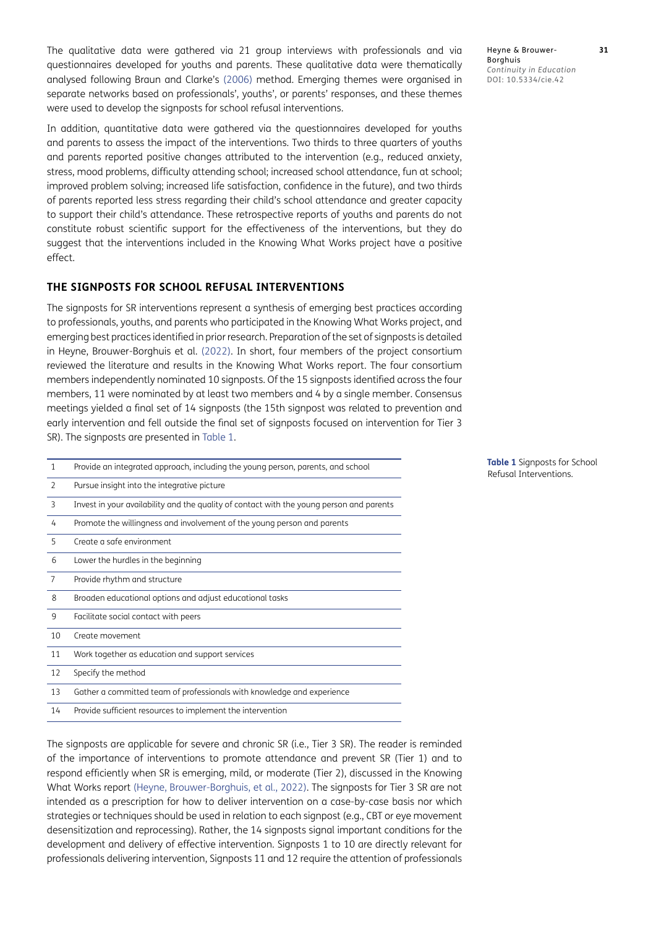The qualitative data were gathered via 21 group interviews with professionals and via questionnaires developed for youths and parents. These qualitative data were thematically analysed following Braun and Clarke's ([2006](#page-12-11)) method. Emerging themes were organised in separate networks based on professionals', youths', or parents' responses, and these themes were used to develop the signposts for school refusal interventions.

In addition, quantitative data were gathered via the questionnaires developed for youths and parents to assess the impact of the interventions. Two thirds to three quarters of youths and parents reported positive changes attributed to the intervention (e.g., reduced anxiety, stress, mood problems, difficulty attending school; increased school attendance, fun at school; improved problem solving; increased life satisfaction, confidence in the future), and two thirds of parents reported less stress regarding their child's school attendance and greater capacity to support their child's attendance. These retrospective reports of youths and parents do not constitute robust scientific support for the effectiveness of the interventions, but they do suggest that the interventions included in the Knowing What Works project have a positive effect.

#### **THE SIGNPOSTS FOR SCHOOL REFUSAL INTERVENTIONS**

The signposts for SR interventions represent a synthesis of emerging best practices according to professionals, youths, and parents who participated in the Knowing What Works project, and emerging best practices identified in prior research. Preparation of the set of signposts is detailed in Heyne, Brouwer-Borghuis et al. ([2022](#page-13-7)). In short, four members of the project consortium reviewed the literature and results in the Knowing What Works report. The four consortium members independently nominated 10 signposts. Of the 15 signposts identified across the four members, 11 were nominated by at least two members and 4 by a single member. Consensus meetings yielded a final set of 14 signposts (the 15th signpost was related to prevention and early intervention and fell outside the final set of signposts focused on intervention for Tier 3 SR). The signposts are presented in [Table 1](#page-6-0).

| $\mathbf{1}$   | Provide an integrated approach, including the young person, parents, and school          |
|----------------|------------------------------------------------------------------------------------------|
| 2              | Pursue insight into the integrative picture                                              |
| 3              | Invest in your availability and the quality of contact with the young person and parents |
| 4              | Promote the willingness and involvement of the young person and parents                  |
| 5              | Create a safe environment                                                                |
| 6              | Lower the hurdles in the beginning                                                       |
| $\overline{7}$ | Provide rhythm and structure                                                             |
| 8              | Broaden educational options and adjust educational tasks                                 |
| 9              | Facilitate social contact with peers                                                     |
| 10             | Create movement                                                                          |
| 11             | Work together as education and support services                                          |
| 12             | Specify the method                                                                       |
| 13             | Gather a committed team of professionals with knowledge and experience                   |
| 14             | Provide sufficient resources to implement the intervention                               |
|                |                                                                                          |

The signposts are applicable for severe and chronic SR (i.e., Tier 3 SR). The reader is reminded of the importance of interventions to promote attendance and prevent SR (Tier 1) and to respond efficiently when SR is emerging, mild, or moderate (Tier 2), discussed in the Knowing What Works report [\(Heyne, Brouwer-Borghuis, et al., 2022](#page-13-7)). The signposts for Tier 3 SR are not intended as a prescription for how to deliver intervention on a case-by-case basis nor which strategies or techniques should be used in relation to each signpost (e.g., CBT or eye movement desensitization and reprocessing). Rather, the 14 signposts signal important conditions for the development and delivery of effective intervention. Signposts 1 to 10 are directly relevant for professionals delivering intervention, Signposts 11 and 12 require the attention of professionals Heyne & Brouwer- **31 Borghuis** *Continuity in Education* DOI: 10.5334/cie.42

<span id="page-6-0"></span>**Table 1** Signposts for School Refusal Interventions.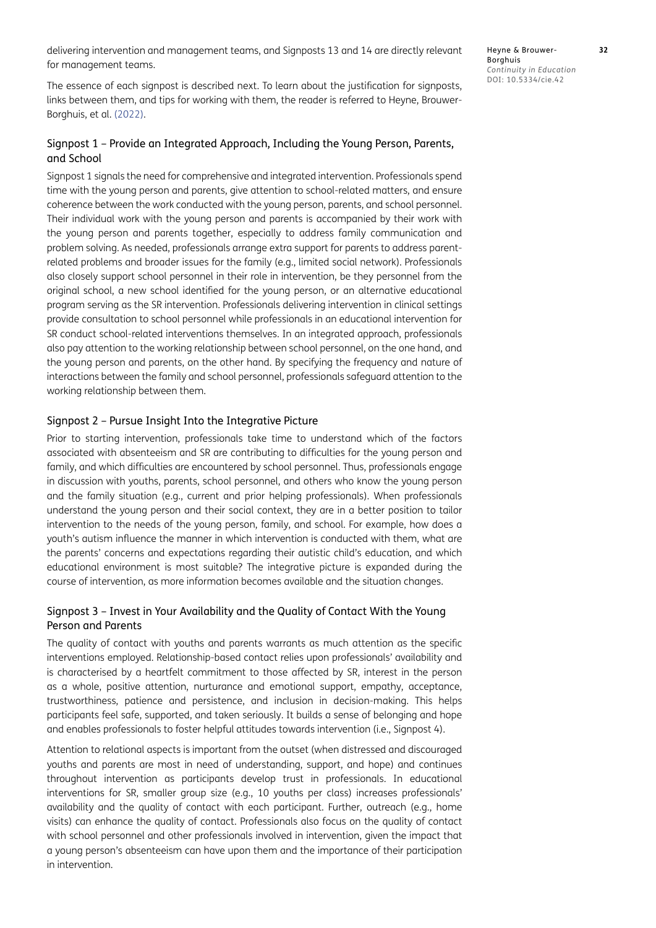delivering intervention and management teams, and Signposts 13 and 14 are directly relevant for management teams.

The essence of each signpost is described next. To learn about the justification for signposts, links between them, and tips for working with them, the reader is referred to Heyne, Brouwer-Borghuis, et al. ([2022](#page-13-7)).

#### Signpost 1 – Provide an Integrated Approach, Including the Young Person, Parents, and School

Signpost 1 signals the need for comprehensive and integrated intervention. Professionals spend time with the young person and parents, give attention to school-related matters, and ensure coherence between the work conducted with the young person, parents, and school personnel. Their individual work with the young person and parents is accompanied by their work with the young person and parents together, especially to address family communication and problem solving. As needed, professionals arrange extra support for parents to address parentrelated problems and broader issues for the family (e.g., limited social network). Professionals also closely support school personnel in their role in intervention, be they personnel from the original school, a new school identified for the young person, or an alternative educational program serving as the SR intervention. Professionals delivering intervention in clinical settings provide consultation to school personnel while professionals in an educational intervention for SR conduct school-related interventions themselves. In an integrated approach, professionals also pay attention to the working relationship between school personnel, on the one hand, and the young person and parents, on the other hand. By specifying the frequency and nature of interactions between the family and school personnel, professionals safeguard attention to the working relationship between them.

#### Signpost 2 – Pursue Insight Into the Integrative Picture

Prior to starting intervention, professionals take time to understand which of the factors associated with absenteeism and SR are contributing to difficulties for the young person and family, and which difficulties are encountered by school personnel. Thus, professionals engage in discussion with youths, parents, school personnel, and others who know the young person and the family situation (e.g., current and prior helping professionals). When professionals understand the young person and their social context, they are in a better position to tailor intervention to the needs of the young person, family, and school. For example, how does a youth's autism influence the manner in which intervention is conducted with them, what are the parents' concerns and expectations regarding their autistic child's education, and which educational environment is most suitable? The integrative picture is expanded during the course of intervention, as more information becomes available and the situation changes.

# Signpost 3 – Invest in Your Availability and the Quality of Contact With the Young Person and Parents

The quality of contact with youths and parents warrants as much attention as the specific interventions employed. Relationship-based contact relies upon professionals' availability and is characterised by a heartfelt commitment to those affected by SR, interest in the person as a whole, positive attention, nurturance and emotional support, empathy, acceptance, trustworthiness, patience and persistence, and inclusion in decision-making. This helps participants feel safe, supported, and taken seriously. It builds a sense of belonging and hope and enables professionals to foster helpful attitudes towards intervention (i.e., Signpost 4).

Attention to relational aspects is important from the outset (when distressed and discouraged youths and parents are most in need of understanding, support, and hope) and continues throughout intervention as participants develop trust in professionals. In educational interventions for SR, smaller group size (e.g., 10 youths per class) increases professionals' availability and the quality of contact with each participant. Further, outreach (e.g., home visits) can enhance the quality of contact. Professionals also focus on the quality of contact with school personnel and other professionals involved in intervention, given the impact that a young person's absenteeism can have upon them and the importance of their participation in intervention.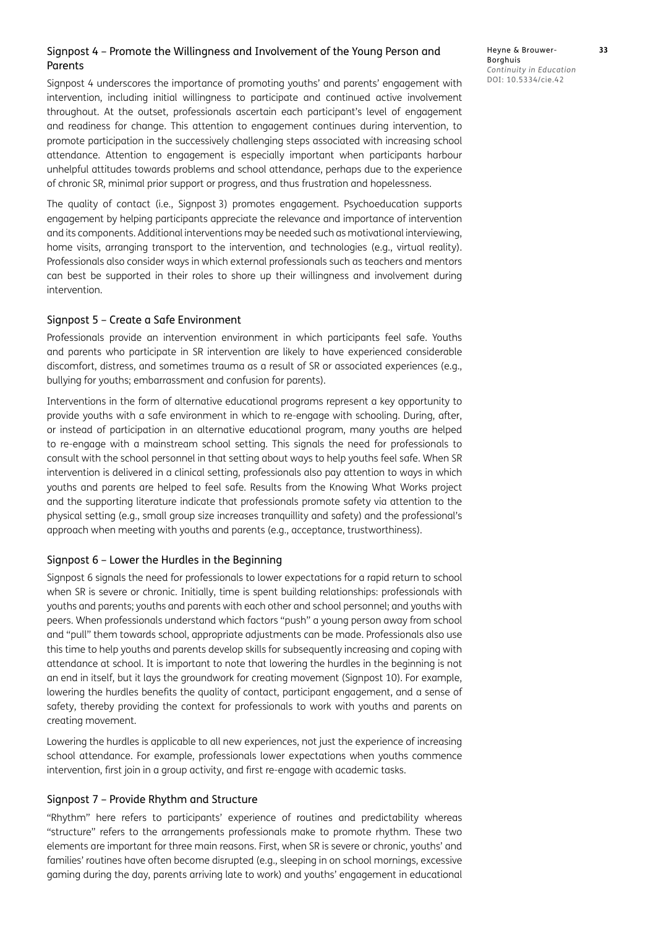#### Signpost 4 – Promote the Willingness and Involvement of the Young Person and Parents

Signpost 4 underscores the importance of promoting youths' and parents' engagement with intervention, including initial willingness to participate and continued active involvement throughout. At the outset, professionals ascertain each participant's level of engagement and readiness for change. This attention to engagement continues during intervention, to promote participation in the successively challenging steps associated with increasing school attendance. Attention to engagement is especially important when participants harbour unhelpful attitudes towards problems and school attendance, perhaps due to the experience of chronic SR, minimal prior support or progress, and thus frustration and hopelessness.

The quality of contact (i.e., Signpost 3) promotes engagement. Psychoeducation supports engagement by helping participants appreciate the relevance and importance of intervention and its components. Additional interventions may be needed such as motivational interviewing, home visits, arranging transport to the intervention, and technologies (e.g., virtual reality). Professionals also consider ways in which external professionals such as teachers and mentors can best be supported in their roles to shore up their willingness and involvement during intervention.

#### Signpost 5 – Create a Safe Environment

Professionals provide an intervention environment in which participants feel safe. Youths and parents who participate in SR intervention are likely to have experienced considerable discomfort, distress, and sometimes trauma as a result of SR or associated experiences (e.g., bullying for youths; embarrassment and confusion for parents).

Interventions in the form of alternative educational programs represent a key opportunity to provide youths with a safe environment in which to re-engage with schooling. During, after, or instead of participation in an alternative educational program, many youths are helped to re-engage with a mainstream school setting. This signals the need for professionals to consult with the school personnel in that setting about ways to help youths feel safe. When SR intervention is delivered in a clinical setting, professionals also pay attention to ways in which youths and parents are helped to feel safe. Results from the Knowing What Works project and the supporting literature indicate that professionals promote safety via attention to the physical setting (e.g., small group size increases tranquillity and safety) and the professional's approach when meeting with youths and parents (e.g., acceptance, trustworthiness).

#### Signpost 6 – Lower the Hurdles in the Beginning

Signpost 6 signals the need for professionals to lower expectations for a rapid return to school when SR is severe or chronic. Initially, time is spent building relationships: professionals with youths and parents; youths and parents with each other and school personnel; and youths with peers. When professionals understand which factors "push" a young person away from school and "pull" them towards school, appropriate adjustments can be made. Professionals also use this time to help youths and parents develop skills for subsequently increasing and coping with attendance at school. It is important to note that lowering the hurdles in the beginning is not an end in itself, but it lays the groundwork for creating movement (Signpost 10). For example, lowering the hurdles benefits the quality of contact, participant engagement, and a sense of safety, thereby providing the context for professionals to work with youths and parents on creating movement.

Lowering the hurdles is applicable to all new experiences, not just the experience of increasing school attendance. For example, professionals lower expectations when youths commence intervention, first join in a group activity, and first re-engage with academic tasks.

#### Signpost 7 – Provide Rhythm and Structure

"Rhythm" here refers to participants' experience of routines and predictability whereas "structure" refers to the arrangements professionals make to promote rhythm. These two elements are important for three main reasons. First, when SR is severe or chronic, youths' and families' routines have often become disrupted (e.g., sleeping in on school mornings, excessive gaming during the day, parents arriving late to work) and youths' engagement in educational Heyne & Brouwer- **33** Borghuis *Continuity in Education* DOI: 10.5334/cie.42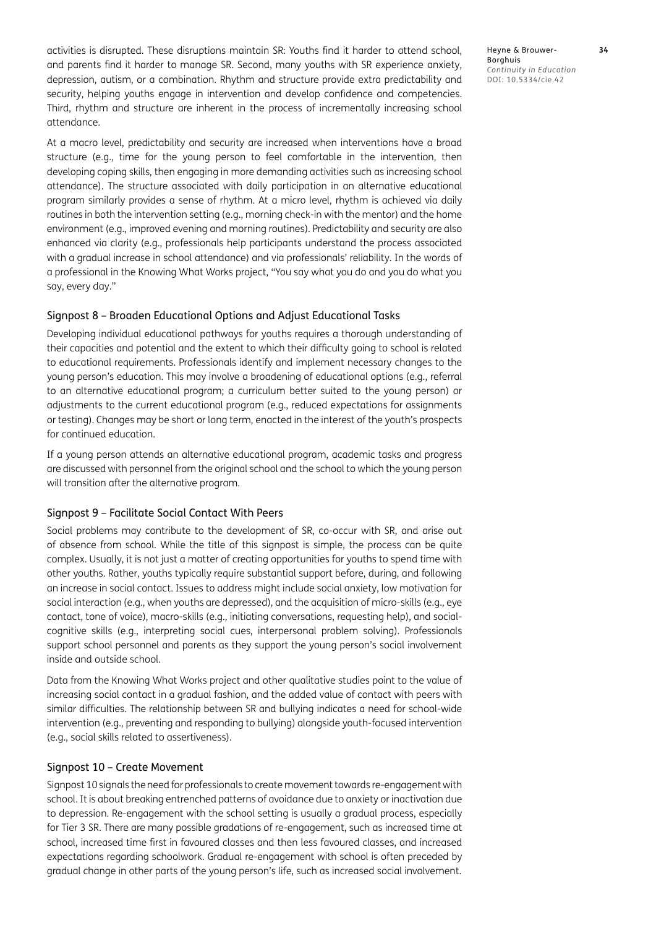activities is disrupted. These disruptions maintain SR: Youths find it harder to attend school, and parents find it harder to manage SR. Second, many youths with SR experience anxiety, depression, autism, or a combination. Rhythm and structure provide extra predictability and security, helping youths engage in intervention and develop confidence and competencies. Third, rhythm and structure are inherent in the process of incrementally increasing school attendance.

At a macro level, predictability and security are increased when interventions have a broad structure (e.g., time for the young person to feel comfortable in the intervention, then developing coping skills, then engaging in more demanding activities such as increasing school attendance). The structure associated with daily participation in an alternative educational program similarly provides a sense of rhythm. At a micro level, rhythm is achieved via daily routines in both the intervention setting (e.g., morning check-in with the mentor) and the home environment (e.g., improved evening and morning routines). Predictability and security are also enhanced via clarity (e.g., professionals help participants understand the process associated with a gradual increase in school attendance) and via professionals' reliability. In the words of a professional in the Knowing What Works project, "You say what you do and you do what you say, every day."

#### Signpost 8 – Broaden Educational Options and Adjust Educational Tasks

Developing individual educational pathways for youths requires a thorough understanding of their capacities and potential and the extent to which their difficulty going to school is related to educational requirements. Professionals identify and implement necessary changes to the young person's education. This may involve a broadening of educational options (e.g., referral to an alternative educational program; a curriculum better suited to the young person) or adjustments to the current educational program (e.g., reduced expectations for assignments or testing). Changes may be short or long term, enacted in the interest of the youth's prospects for continued education.

If a young person attends an alternative educational program, academic tasks and progress are discussed with personnel from the original school and the school to which the young person will transition after the alternative program.

#### Signpost 9 – Facilitate Social Contact With Peers

Social problems may contribute to the development of SR, co-occur with SR, and arise out of absence from school. While the title of this signpost is simple, the process can be quite complex. Usually, it is not just a matter of creating opportunities for youths to spend time with other youths. Rather, youths typically require substantial support before, during, and following an increase in social contact. Issues to address might include social anxiety, low motivation for social interaction (e.g., when youths are depressed), and the acquisition of micro-skills (e.g., eye contact, tone of voice), macro-skills (e.g., initiating conversations, requesting help), and socialcognitive skills (e.g., interpreting social cues, interpersonal problem solving). Professionals support school personnel and parents as they support the young person's social involvement inside and outside school.

Data from the Knowing What Works project and other qualitative studies point to the value of increasing social contact in a gradual fashion, and the added value of contact with peers with similar difficulties. The relationship between SR and bullying indicates a need for school-wide intervention (e.g., preventing and responding to bullying) alongside youth-focused intervention (e.g., social skills related to assertiveness).

#### Signpost 10 – Create Movement

Signpost 10 signals the need for professionals to create movement towards re-engagement with school. It is about breaking entrenched patterns of avoidance due to anxiety or inactivation due to depression. Re-engagement with the school setting is usually a gradual process, especially for Tier 3 SR. There are many possible gradations of re-engagement, such as increased time at school, increased time first in favoured classes and then less favoured classes, and increased expectations regarding schoolwork. Gradual re-engagement with school is often preceded by gradual change in other parts of the young person's life, such as increased social involvement.

Heyne & Brouwer- **34** Borghuis *Continuity in Education* DOI: 10.5334/cie.42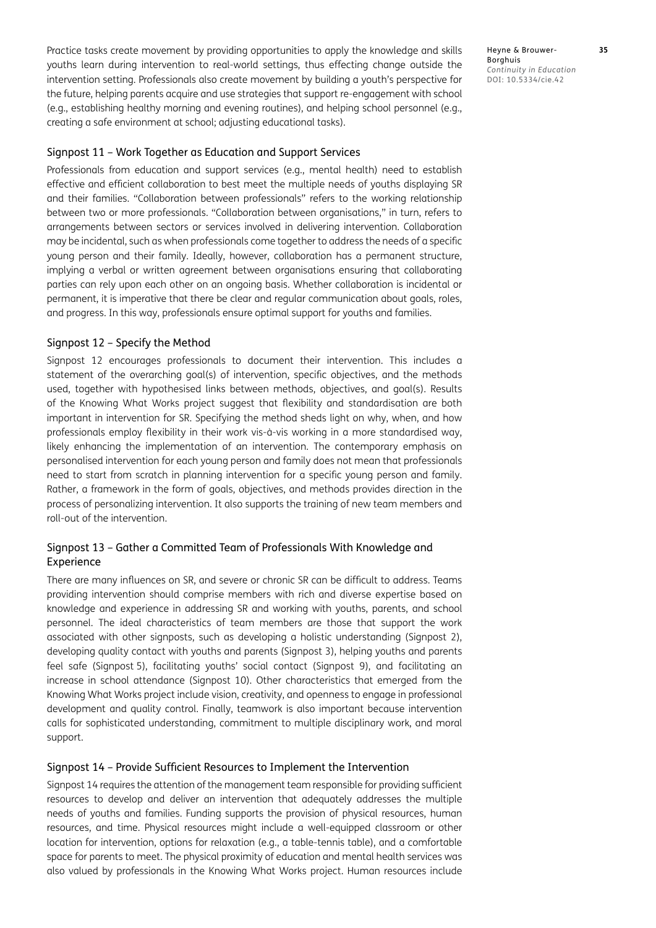Practice tasks create movement by providing opportunities to apply the knowledge and skills youths learn during intervention to real-world settings, thus effecting change outside the intervention setting. Professionals also create movement by building a youth's perspective for the future, helping parents acquire and use strategies that support re-engagement with school (e.g., establishing healthy morning and evening routines), and helping school personnel (e.g., creating a safe environment at school; adjusting educational tasks).

#### Signpost 11 – Work Together as Education and Support Services

Professionals from education and support services (e.g., mental health) need to establish effective and efficient collaboration to best meet the multiple needs of youths displaying SR and their families. "Collaboration between professionals" refers to the working relationship between two or more professionals. "Collaboration between organisations," in turn, refers to arrangements between sectors or services involved in delivering intervention. Collaboration may be incidental, such as when professionals come together to address the needs of a specific young person and their family. Ideally, however, collaboration has a permanent structure, implying a verbal or written agreement between organisations ensuring that collaborating parties can rely upon each other on an ongoing basis. Whether collaboration is incidental or permanent, it is imperative that there be clear and regular communication about goals, roles, and progress. In this way, professionals ensure optimal support for youths and families.

#### Signpost 12 – Specify the Method

Signpost 12 encourages professionals to document their intervention. This includes a statement of the overarching goal(s) of intervention, specific objectives, and the methods used, together with hypothesised links between methods, objectives, and goal(s). Results of the Knowing What Works project suggest that flexibility and standardisation are both important in intervention for SR. Specifying the method sheds light on why, when, and how professionals employ flexibility in their work vis-à-vis working in a more standardised way, likely enhancing the implementation of an intervention. The contemporary emphasis on personalised intervention for each young person and family does not mean that professionals need to start from scratch in planning intervention for a specific young person and family. Rather, a framework in the form of goals, objectives, and methods provides direction in the process of personalizing intervention. It also supports the training of new team members and roll-out of the intervention.

# Signpost 13 – Gather a Committed Team of Professionals With Knowledge and Experience

There are many influences on SR, and severe or chronic SR can be difficult to address. Teams providing intervention should comprise members with rich and diverse expertise based on knowledge and experience in addressing SR and working with youths, parents, and school personnel. The ideal characteristics of team members are those that support the work associated with other signposts, such as developing a holistic understanding (Signpost 2), developing quality contact with youths and parents (Signpost 3), helping youths and parents feel safe (Signpost 5), facilitating youths' social contact (Signpost 9), and facilitating an increase in school attendance (Signpost 10). Other characteristics that emerged from the Knowing What Works project include vision, creativity, and openness to engage in professional development and quality control. Finally, teamwork is also important because intervention calls for sophisticated understanding, commitment to multiple disciplinary work, and moral support.

#### Signpost 14 – Provide Sufficient Resources to Implement the Intervention

Signpost 14 requires the attention of the management team responsible for providing sufficient resources to develop and deliver an intervention that adequately addresses the multiple needs of youths and families. Funding supports the provision of physical resources, human resources, and time. Physical resources might include a well-equipped classroom or other location for intervention, options for relaxation (e.g., a table-tennis table), and a comfortable space for parents to meet. The physical proximity of education and mental health services was also valued by professionals in the Knowing What Works project. Human resources include Heyne & Brouwer- **35** Borghuis *Continuity in Education* DOI: 10.5334/cie.42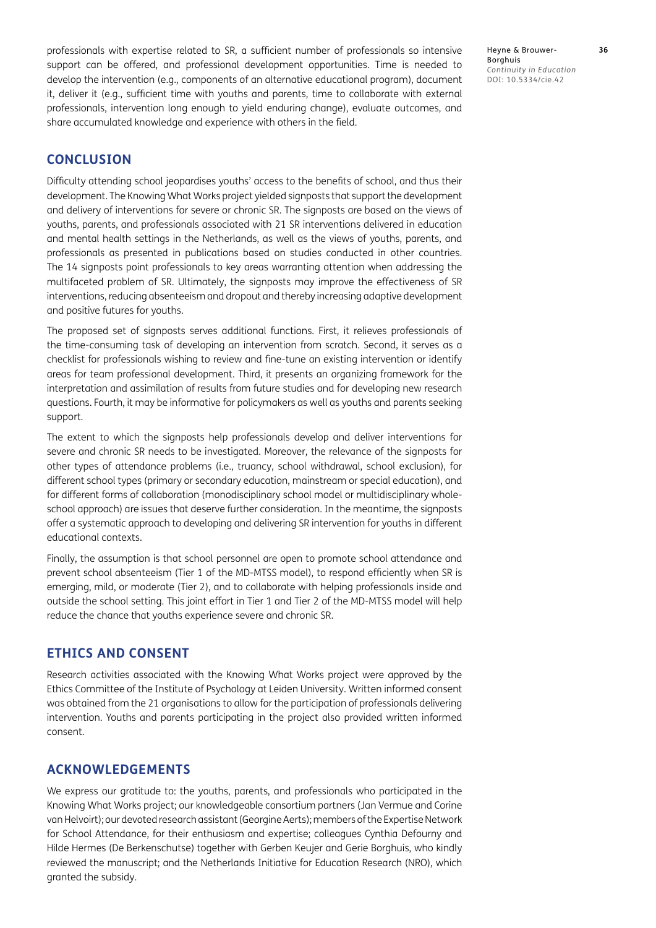professionals with expertise related to SR, a sufficient number of professionals so intensive support can be offered, and professional development opportunities. Time is needed to develop the intervention (e.g., components of an alternative educational program), document it, deliver it (e.g., sufficient time with youths and parents, time to collaborate with external professionals, intervention long enough to yield enduring change), evaluate outcomes, and share accumulated knowledge and experience with others in the field.

# **CONCLUSION**

Difficulty attending school jeopardises youths' access to the benefits of school, and thus their development. The Knowing What Works project yielded signposts that support the development and delivery of interventions for severe or chronic SR. The signposts are based on the views of youths, parents, and professionals associated with 21 SR interventions delivered in education and mental health settings in the Netherlands, as well as the views of youths, parents, and professionals as presented in publications based on studies conducted in other countries. The 14 signposts point professionals to key areas warranting attention when addressing the multifaceted problem of SR. Ultimately, the signposts may improve the effectiveness of SR interventions, reducing absenteeism and dropout and thereby increasing adaptive development and positive futures for youths.

The proposed set of signposts serves additional functions. First, it relieves professionals of the time-consuming task of developing an intervention from scratch. Second, it serves as a checklist for professionals wishing to review and fine-tune an existing intervention or identify areas for team professional development. Third, it presents an organizing framework for the interpretation and assimilation of results from future studies and for developing new research questions. Fourth, it may be informative for policymakers as well as youths and parents seeking support.

The extent to which the signposts help professionals develop and deliver interventions for severe and chronic SR needs to be investigated. Moreover, the relevance of the signposts for other types of attendance problems (i.e., truancy, school withdrawal, school exclusion), for different school types (primary or secondary education, mainstream or special education), and for different forms of collaboration (monodisciplinary school model or multidisciplinary wholeschool approach) are issues that deserve further consideration. In the meantime, the signposts offer a systematic approach to developing and delivering SR intervention for youths in different educational contexts.

Finally, the assumption is that school personnel are open to promote school attendance and prevent school absenteeism (Tier 1 of the MD-MTSS model), to respond efficiently when SR is emerging, mild, or moderate (Tier 2), and to collaborate with helping professionals inside and outside the school setting. This joint effort in Tier 1 and Tier 2 of the MD-MTSS model will help reduce the chance that youths experience severe and chronic SR.

#### **ETHICS AND CONSENT**

Research activities associated with the Knowing What Works project were approved by the Ethics Committee of the Institute of Psychology at Leiden University. Written informed consent was obtained from the 21 organisations to allow for the participation of professionals delivering intervention. Youths and parents participating in the project also provided written informed consent.

# **ACKNOWLEDGEMENTS**

We express our gratitude to: the youths, parents, and professionals who participated in the Knowing What Works project; our knowledgeable consortium partners (Jan Vermue and Corine van Helvoirt); our devoted research assistant (Georgine Aerts); members of the Expertise Network for School Attendance, for their enthusiasm and expertise; colleagues Cynthia Defourny and Hilde Hermes (De Berkenschutse) together with Gerben Keujer and Gerie Borghuis, who kindly reviewed the manuscript; and the Netherlands Initiative for Education Research (NRO), which granted the subsidy.

Heyne & Brouwer- **36** Borghuis *Continuity in Education* DOI: 10.5334/cie.42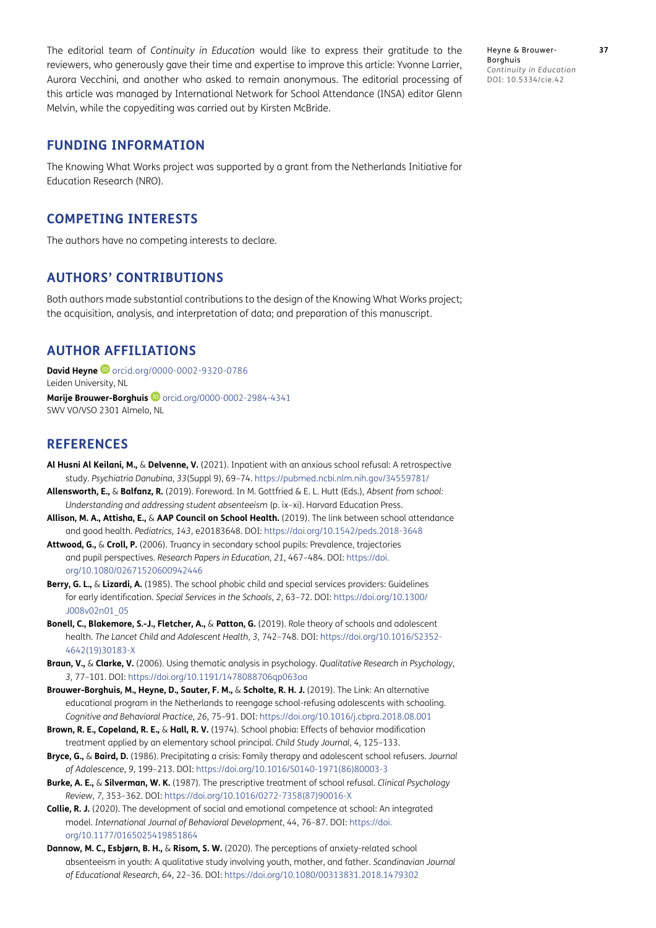The editorial team of *Continuity in Education* would like to express their gratitude to the reviewers, who generously gave their time and expertise to improve this article: Yvonne Larrier, Aurora Vecchini, and another who asked to remain anonymous. The editorial processing of this article was managed by International Network for School Attendance (INSA) editor Glenn Melvin, while the copyediting was carried out by Kirsten McBride.

Heyne & Brouwer- **37** Borghuis *Continuity in Education* DOI: 10.5334/cie.42

# **FUNDING INFORMATION**

The Knowing What Works project was supported by a grant from the Netherlands Initiative for Education Research (NRO).

# **COMPETING INTERESTS**

The authors have no competing interests to declare.

# **AUTHORS' CONTRIBUTIONS**

Both authors made substantial contributions to the design of the Knowing What Works project; the acquisition, analysis, and interpretation of data; and preparation of this manuscript.

# <span id="page-12-0"></span>**AUTHOR AFFILIATIONS**

**David Heyne**  [orcid.org/0000-0002-9320-0786](https://orcid.org/0000-0002-9320-0786) Leiden University, NL

Marije Brouwer-Borghuis <sup>D</sup>[orcid.org/0000-0002-2984-4341](https://orcid.org/0000-0002-2984-4341) SWV VO/VSO 2301 Almelo, NL

# **REFERENCES**

- <span id="page-12-4"></span>**Al Husni Al Keilani, M.,** & **Delvenne, V.** (2021). Inpatient with an anxious school refusal: A retrospective study. *Psychiatria Danubina*, *33*(Suppl 9), 69–74.<https://pubmed.ncbi.nlm.nih.gov/34559781/>
- <span id="page-12-2"></span>**Allensworth, E.,** & **Balfanz, R.** (2019). Foreword. In M. Gottfried & E. L. Hutt (Eds.), *Absent from school: Understanding and addressing student absenteeism* (p. ix–xi). Harvard Education Press.
- **Allison, M. A., Attisha, E.,** & **AAP Council on School Health.** (2019). The link between school attendance and good health. *Pediatrics, 143*, e20183648. DOI: <https://doi.org/10.1542/peds.2018-3648>
- <span id="page-12-6"></span>**Attwood, G.,** & **Croll, P.** (2006). Truancy in secondary school pupils: Prevalence, trajectories and pupil perspectives. *Research Papers in Education*, *21*, 467–484. DOI: [https://doi.](https://doi.org/10.1080/02671520600942446) [org/10.1080/02671520600942446](https://doi.org/10.1080/02671520600942446)
- <span id="page-12-7"></span>**Berry, G. L.,** & **Lizardi, A.** (1985). The school phobic child and special services providers: Guidelines for early identification. *Special Services in the Schools*, *2*, 63–72. DOI: [https://doi.org/10.1300/](https://doi.org/10.1300/J008v02n01_05) [J008v02n01\\_05](https://doi.org/10.1300/J008v02n01_05)
- <span id="page-12-3"></span>**Bonell, C., Blakemore, S.-J., Fletcher, A.,** & **Patton, G.** (2019). Role theory of schools and adolescent health. *The Lancet Child and Adolescent Health*, *3*, 742–748. DOI: [https://doi.org/10.1016/S2352-](https://doi.org/10.1016/S2352-4642(19)30183-X) [4642\(19\)30183-X](https://doi.org/10.1016/S2352-4642(19)30183-X)
- <span id="page-12-11"></span>**Braun, V.,** & **Clarke, V.** (2006). Using thematic analysis in psychology. *Qualitative Research in Psychology*, *3*, 77–101. DOI:<https://doi.org/10.1191/1478088706qp063oa>
- <span id="page-12-10"></span>**Brouwer-Borghuis, M., Heyne, D., Sauter, F. M.,** & **Scholte, R. H. J.** (2019). The Link: An alternative educational program in the Netherlands to reengage school-refusing adolescents with schooling. *Cognitive and Behavioral Practice*, *26*, 75–91. DOI: <https://doi.org/10.1016/j.cbpra.2018.08.001>
- <span id="page-12-9"></span>**Brown, R. E., Copeland, R. E.,** & **Hall, R. V.** (1974). School phobia: Effects of behavior modification treatment applied by an elementary school principal. *Child Study Journal*, *4*, 125–133.
- <span id="page-12-8"></span>**Bryce, G.,** & **Baird, D.** (1986). Precipitating a crisis: Family therapy and adolescent school refusers*. Journal of Adolescence*, *9*, 199–213. DOI: [https://doi.org/10.1016/S0140-1971\(86\)80003-3](https://doi.org/10.1016/S0140-1971(86)80003-3)
- <span id="page-12-5"></span>**Burke, A. E.,** & **Silverman, W. K.** (1987). The prescriptive treatment of school refusal. *Clinical Psychology Review*, *7*, 353–362. DOI: [https://doi.org/10.1016/0272-7358\(87\)90016-X](https://doi.org/10.1016/0272-7358(87)90016-X)
- <span id="page-12-1"></span>**Collie, R. J.** (2020). The development of social and emotional competence at school: An integrated model. *International Journal of Behavioral Development*, *44*, 76–87. DOI: [https://doi.](https://doi.org/10.1177/0165025419851864) [org/10.1177/0165025419851864](https://doi.org/10.1177/0165025419851864)
- **Dannow, M. C., Esbjørn, B. H.,** & **Risom, S. W.** (2020). The perceptions of anxiety-related school absenteeism in youth: A qualitative study involving youth, mother, and father. *Scandinavian Journal of Educational Research*, *64*, 22–36. DOI: <https://doi.org/10.1080/00313831.2018.1479302>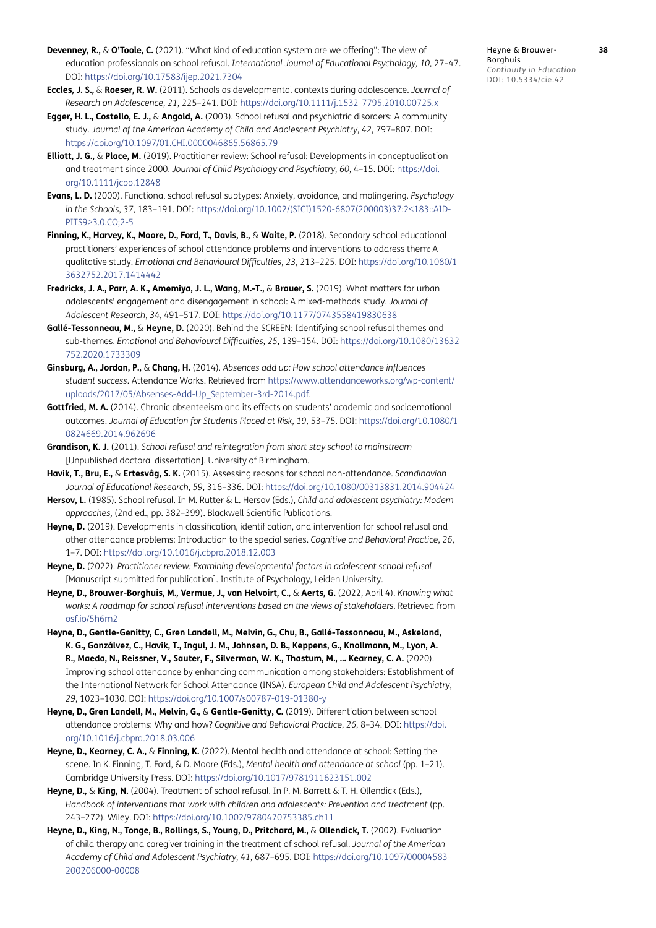- **Devenney, R.,** & **O'Toole, C.** (2021). "What kind of education system are we offering": The view of education professionals on school refusal. *International Journal of Educational Psychology, 10,* 27–47. DOI:<https://doi.org/10.17583/ijep.2021.7304>
- <span id="page-13-1"></span>**Eccles, J. S.,** & **Roeser, R. W.** (2011). Schools as developmental contexts during adolescence. *Journal of Research on Adolescence*, *21*, 225–241. DOI:<https://doi.org/10.1111/j.1532-7795.2010.00725.x>
- <span id="page-13-5"></span>**Egger, H. L., Costello, E. J.,** & **Angold, A.** (2003). School refusal and psychiatric disorders: A community study. *Journal of the American Academy of Child and Adolescent Psychiatry*, *42*, 797–807. DOI: <https://doi.org/10.1097/01.CHI.0000046865.56865.79>
- <span id="page-13-13"></span>**Elliott, J. G.,** & **Place, M.** (2019). Practitioner review: School refusal: Developments in conceptualisation and treatment since 2000. *Journal of Child Psychology and Psychiatry*, *60*, 4–15. DOI: [https://doi.](https://doi.org/10.1111/jcpp.12848) [org/10.1111/jcpp.12848](https://doi.org/10.1111/jcpp.12848)
- <span id="page-13-10"></span>**Evans, L. D.** (2000). Functional school refusal subtypes: Anxiety, avoidance, and malingering. *Psychology in the Schools*, *37*, 183–191. DOI: [https://doi.org/10.1002/\(SICI\)1520-6807\(200003\)37:2<183::AID-](https://doi.org/10.1002/(SICI)1520-6807(200003)37:2<183::AID-PITS9>3.0.CO;2-5)[PITS9>3.0.CO;2-5](https://doi.org/10.1002/(SICI)1520-6807(200003)37:2<183::AID-PITS9>3.0.CO;2-5)
- <span id="page-13-9"></span>**Finning, K., Harvey, K., Moore, D., Ford, T., Davis, B.,** & **Waite, P.** (2018). Secondary school educational practitioners' experiences of school attendance problems and interventions to address them: A qualitative study. *Emotional and Behavioural Difficulties*, *23*, 213–225. DOI: [https://doi.org/10.1080/1](https://doi.org/10.1080/13632752.2017.1414442) [3632752.2017.1414442](https://doi.org/10.1080/13632752.2017.1414442)
- <span id="page-13-2"></span>**Fredricks, J. A., Parr, A. K., Amemiya, J. L., Wang, M.-T.,** & **Brauer, S.** (2019). What matters for urban adolescents' engagement and disengagement in school: A mixed-methods study. *Journal of Adolescent Research*, *34*, 491–517. DOI: <https://doi.org/10.1177/0743558419830638>
- **Gallé-Tessonneau, M.,** & **Heyne, D.** (2020). Behind the SCREEN: Identifying school refusal themes and sub-themes. *Emotional and Behavioural Difficulties*, *25*, 139–154. DOI: [https://doi.org/10.1080/13632](https://doi.org/10.1080/13632752.2020.1733309) [752.2020.1733309](https://doi.org/10.1080/13632752.2020.1733309)
- <span id="page-13-0"></span>**Ginsburg, A., Jordan, P.,** & **Chang, H.** (2014). *Absences add up: How school attendance influences student success*. Attendance Works. Retrieved from [https://www.attendanceworks.org/wp-content/](https://www.attendanceworks.org/wp-content/uploads/2017/05/Absenses-Add-Up_September-3rd-2014.pdf) [uploads/2017/05/Absenses-Add-Up\\_September-3rd-2014.pdf](https://www.attendanceworks.org/wp-content/uploads/2017/05/Absenses-Add-Up_September-3rd-2014.pdf).
- **Gottfried, M. A.** (2014). Chronic absenteeism and its effects on students' academic and socioemotional outcomes. *Journal of Education for Students Placed at Risk*, *19*, 53–75. DOI: [https://doi.org/10.1080/1](https://doi.org/10.1080/10824669.2014.962696) [0824669.2014.962696](https://doi.org/10.1080/10824669.2014.962696)
- **Grandison, K. J.** (2011). *School refusal and reintegration from short stay school to mainstream*  [Unpublished doctoral dissertation]. University of Birmingham.
- **Havik, T., Bru, E.,** & **Ertesvåg, S. K.** (2015). Assessing reasons for school non-attendance. *Scandinavian Journal of Educational Research*, *59*, 316–336. DOI: <https://doi.org/10.1080/00313831.2014.904424>
- <span id="page-13-6"></span>**Hersov, L.** (1985). School refusal. In M. Rutter & L. Hersov (Eds.), *Child and adolescent psychiatry: Modern approaches,* (2nd ed.*,* pp. 382–399). Blackwell Scientific Publications.
- <span id="page-13-14"></span>**Heyne, D.** (2019). Developments in classification, identification, and intervention for school refusal and other attendance problems: Introduction to the special series. *Cognitive and Behavioral Practice*, *26*, 1–7. DOI:<https://doi.org/10.1016/j.cbpra.2018.12.003>
- <span id="page-13-8"></span>**Heyne, D.** (2022). *Practitioner review: Examining developmental factors in adolescent school refusal* [Manuscript submitted for publication]. Institute of Psychology, Leiden University.
- <span id="page-13-7"></span>**Heyne, D., Brouwer-Borghuis, M., Vermue, J., van Helvoirt, C.,** & **Aerts, G.** (2022, April 4). *Knowing what works: A roadmap for school refusal interventions based on the views of stakeholders*. Retrieved from [osf.io/5h6m2](https://osf.io/5h6m2/)
- **Heyne, D., Gentle-Genitty, C., Gren Landell, M., Melvin, G., Chu, B., Gallé-Tessonneau, M., Askeland, K. G., Gonzálvez, C., Havik, T., Ingul, J. M., Johnsen, D. B., Keppens, G., Knollmann, M., Lyon, A. R., Maeda, N., Reissner, V., Sauter, F., Silverman, W. K., Thastum, M., … Kearney, C. A.** (2020). Improving school attendance by enhancing communication among stakeholders: Establishment of the International Network for School Attendance (INSA). *European Child and Adolescent Psychiatry*, *29*, 1023–1030. DOI: <https://doi.org/10.1007/s00787-019-01380-y>
- <span id="page-13-3"></span>**Heyne, D., Gren Landell, M., Melvin, G.,** & **Gentle-Genitty, C.** (2019). Differentiation between school attendance problems: Why and how? *Cognitive and Behavioral Practice*, *26*, 8–34. DOI: [https://doi.](https://doi.org/10.1016/j.cbpra.2018.03.006) [org/10.1016/j.cbpra.2018.03.006](https://doi.org/10.1016/j.cbpra.2018.03.006)
- <span id="page-13-12"></span>**Heyne, D., Kearney, C. A.,** & **Finning, K.** (2022). Mental health and attendance at school: Setting the scene. In K. Finning, T. Ford, & D. Moore (Eds.), *Mental health and attendance at school* (pp. 1–21). Cambridge University Press. DOI: <https://doi.org/10.1017/9781911623151.002>
- <span id="page-13-4"></span>**Heyne, D.,** & **King, N.** (2004). Treatment of school refusal. In P. M. Barrett & T. H. Ollendick (Eds.), Handbook of interventions that work with children and adolescents: Prevention and treatment (pp. 243–272). Wiley. DOI: <https://doi.org/10.1002/9780470753385.ch11>
- <span id="page-13-11"></span>**Heyne, D., King, N., Tonge, B., Rollings, S., Young, D., Pritchard, M.,** & **Ollendick, T.** (2002). Evaluation of child therapy and caregiver training in the treatment of school refusal. *Journal of the American Academy of Child and Adolescent Psychiatry*, *41*, 687–695. DOI: [https://doi.org/10.1097/00004583-](https://doi.org/10.1097/00004583-200206000-00008) [200206000-00008](https://doi.org/10.1097/00004583-200206000-00008)

Heyne & Brouwer- **38** Borghuis *Continuity in Education* DOI: 10.5334/cie.42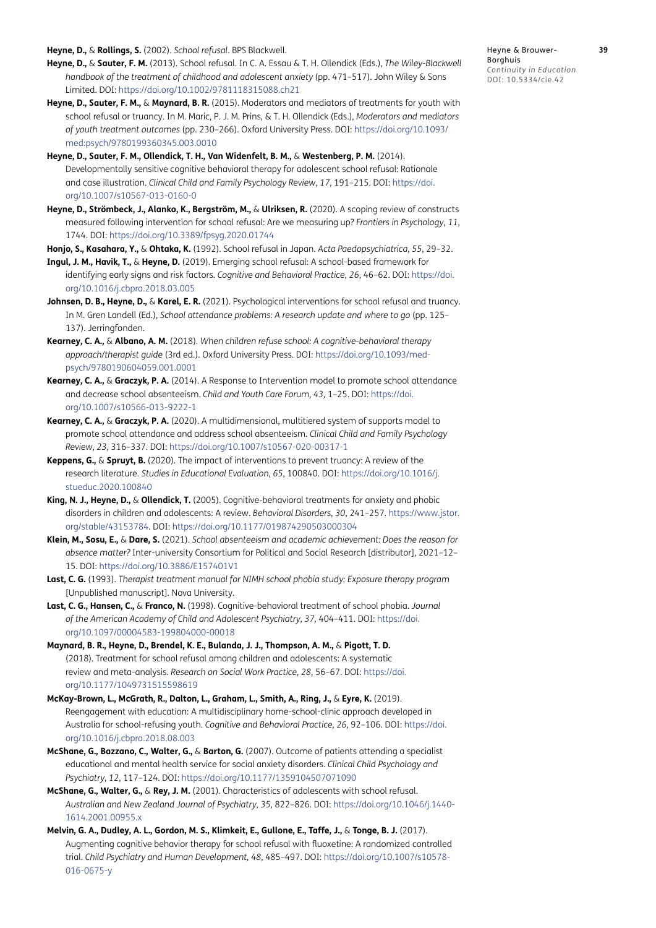<span id="page-14-11"></span>**Heyne, D.,** & **Rollings, S.** (2002). *School refusal*. BPS Blackwell.

- <span id="page-14-10"></span>**Heyne, D.,** & **Sauter, F. M.** (2013). School refusal. In C. A. Essau & T. H. Ollendick (Eds.), *The Wiley-Blackwell handbook of the treatment of childhood and adolescent anxiety (pp. 471-517). John Wiley & Sons* Limited. DOI: <https://doi.org/10.1002/9781118315088.ch21>
- <span id="page-14-18"></span>**Heyne, D., Sauter, F. M.,** & **Maynard, B. R.** (2015). Moderators and mediators of treatments for youth with school refusal or truancy. In M. Maric, P. J. M. Prins, & T. H. Ollendick (Eds.), *Moderators and mediators of youth treatment outcomes* (pp. 230–266). Oxford University Press. DOI: [https://doi.org/10.1093/](https://doi.org/10.1093/med:psych/9780199360345.003.0010) [med:psych/9780199360345.003.0010](https://doi.org/10.1093/med:psych/9780199360345.003.0010)
- <span id="page-14-3"></span>**Heyne, D., Sauter, F. M., Ollendick, T. H., Van Widenfelt, B. M.,** & **Westenberg, P. M.** (2014). Developmentally sensitive cognitive behavioral therapy for adolescent school refusal: Rationale and case illustration. *Clinical Child and Family Psychology Review*, *17*, 191–215. DOI: [https://doi.](https://doi.org/10.1007/s10567-013-0160-0) [org/10.1007/s10567-013-0160-0](https://doi.org/10.1007/s10567-013-0160-0)
- **Heyne, D., Strömbeck, J., Alanko, K., Bergström, M.,** & **Ulriksen, R.** (2020). A scoping review of constructs measured following intervention for school refusal: Are we measuring up? *Frontiers in Psychology*, *11*, 1744. DOI:<https://doi.org/10.3389/fpsyg.2020.01744>

<span id="page-14-1"></span>**Honjo, S., Kasahara, Y.,** & **Ohtaka, K.** (1992). School refusal in Japan. *Acta Paedopsychiatrica*, *55*, 29–32.

- <span id="page-14-14"></span>**Ingul, J. M., Havik, T.,** & **Heyne, D.** (2019). Emerging school refusal: A school-based framework for identifying early signs and risk factors. *Cognitive and Behavioral Practice*, *26*, 46–62. DOI: [https://doi.](https://doi.org/10.1016/j.cbpra.2018.03.005) [org/10.1016/j.cbpra.2018.03.005](https://doi.org/10.1016/j.cbpra.2018.03.005)
- <span id="page-14-5"></span>**Johnsen, D. B., Heyne, D.,** & **Karel, E. R.** (2021). Psychological interventions for school refusal and truancy. In M. Gren Landell (Ed.), *School attendance problems: A research update and where to go* (pp. 125– 137). Jerringfonden.
- <span id="page-14-12"></span>**Kearney, C. A.,** & **Albano, A. M.** (2018). *When children refuse school: A cognitive-behavioral therapy approach/therapist guide* (3rd ed.). Oxford University Press. DOI: [https://doi.org/10.1093/med](https://doi.org/10.1093/med-psych/9780190604059.001.0001)[psych/9780190604059.001.0001](https://doi.org/10.1093/med-psych/9780190604059.001.0001)
- <span id="page-14-7"></span>**Kearney, C. A.,** & **Graczyk, P. A.** (2014). A Response to Intervention model to promote school attendance and decrease school absenteeism. *Child and Youth Care Forum, 43,* 1–25. DOI: [https://doi.](https://doi.org/10.1007/s10566-013-9222-1) [org/10.1007/s10566-013-9222-1](https://doi.org/10.1007/s10566-013-9222-1)
- <span id="page-14-4"></span>**Kearney, C. A.,** & **Graczyk, P. A.** (2020). A multidimensional, multitiered system of supports model to promote school attendance and address school absenteeism. *Clinical Child and Family Psychology Review*, *23*, 316–337. DOI: <https://doi.org/10.1007/s10567-020-00317-1>
- <span id="page-14-0"></span>**Keppens, G.,** & **Spruyt, B.** (2020). The impact of interventions to prevent truancy: A review of the research literature. *Studies in Educational Evaluation*, *65*, 100840. DOI: [https://doi.org/10.1016/j.](https://doi.org/10.1016/j.stueduc.2020.100840) [stueduc.2020.100840](https://doi.org/10.1016/j.stueduc.2020.100840)
- <span id="page-14-17"></span>**King, N. J., Heyne, D.,** & **Ollendick, T.** (2005). Cognitive-behavioral treatments for anxiety and phobic disorders in children and adolescents: A review. *Behavioral Disorders*, *30*, 241–257. [https://www.jstor.](https://www.jstor.org/stable/43153784) [org/stable/43153784.](https://www.jstor.org/stable/43153784) DOI:<https://doi.org/10.1177/019874290503000304>
- **Klein, M., Sosu, E.,** & **Dare, S.** (2021). *School absenteeism and academic achievement: Does the reason for absence matter?* Inter-university Consortium for Political and Social Research [distributor], 2021–12– 15. DOI:<https://doi.org/10.3886/E157401V1>
- <span id="page-14-13"></span>**Last, C. G.** (1993). *Therapist treatment manual for NIMH school phobia study: Exposure therapy program* [Unpublished manuscript]. Nova University.
- <span id="page-14-8"></span>**Last, C. G., Hansen, C.,** & **Franco, N.** (1998). Cognitive-behavioral treatment of school phobia. *Journal of the American Academy of Child and Adolescent Psychiatry, 37,* 404–411. DOI: [https://doi.](https://doi.org/10.1097/00004583-199804000-00018) [org/10.1097/00004583-199804000-00018](https://doi.org/10.1097/00004583-199804000-00018)
- <span id="page-14-6"></span>**Maynard, B. R., Heyne, D., Brendel, K. E., Bulanda, J. J., Thompson, A. M.,** & **Pigott, T. D.** (2018). Treatment for school refusal among children and adolescents: A systematic review and meta-analysis. *Research on Social Work Practice*, *28*, 56–67. DOI: [https://doi.](https://doi.org/10.1177/1049731515598619) [org/10.1177/1049731515598619](https://doi.org/10.1177/1049731515598619)
- <span id="page-14-16"></span>**McKay-Brown, L., McGrath, R., Dalton, L., Graham, L., Smith, A., Ring, J.,** & **Eyre, K.** (2019). Reengagement with education: A multidisciplinary home-school-clinic approach developed in Australia for school-refusing youth. *Cognitive and Behavioral Practice, 26,* 92–106. DOI: [https://doi.](https://doi.org/10.1016/j.cbpra.2018.08.003) [org/10.1016/j.cbpra.2018.08.003](https://doi.org/10.1016/j.cbpra.2018.08.003)
- <span id="page-14-15"></span>**McShane, G., Bazzano, C., Walter, G.,** & **Barton, G.** (2007). Outcome of patients attending a specialist educational and mental health service for social anxiety disorders. *Clinical Child Psychology and Psychiatry*, *12*, 117–124. DOI: <https://doi.org/10.1177/1359104507071090>
- <span id="page-14-2"></span>**McShane, G., Walter, G.,** & **Rey, J. M.** (2001). Characteristics of adolescents with school refusal. *Australian and New Zealand Journal of Psychiatry*, *35*, 822–826. DOI: [https://doi.org/10.1046/j.1440-](https://doi.org/10.1046/j.1440-1614.2001.00955.x) [1614.2001.00955.x](https://doi.org/10.1046/j.1440-1614.2001.00955.x)
- <span id="page-14-9"></span>**Melvin, G. A., Dudley, A. L., Gordon, M. S., Klimkeit, E., Gullone, E., Taffe, J.,** & **Tonge, B. J.** (2017). Augmenting cognitive behavior therapy for school refusal with fluoxetine: A randomized controlled trial. *Child Psychiatry and Human Development, 48*, 485–497. DOI: [https://doi.org/10.1007/s10578-](https://doi.org/10.1007/s10578-016-0675-y) [016-0675-y](https://doi.org/10.1007/s10578-016-0675-y)

Heyne & Brouwer- **39**

Borghuis *Continuity in Education* DOI: 10.5334/cie.42